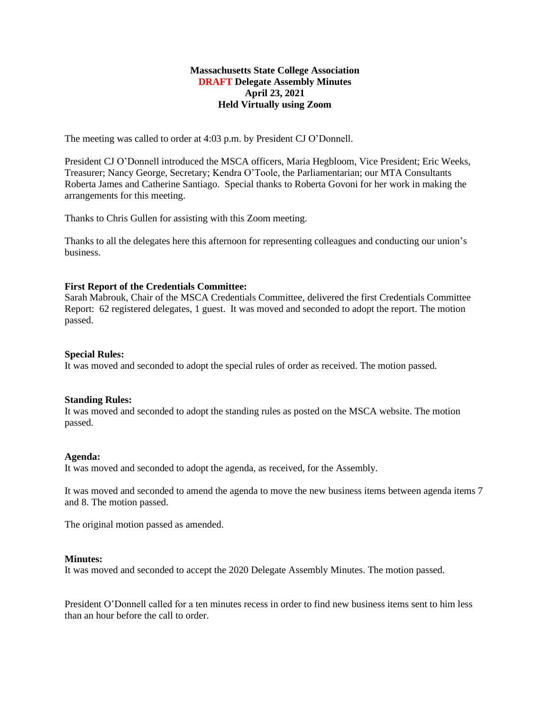### **Massachusetts State College Association DRAFT Delegate Assembly Minutes April 23, 2021 Held Virtually using Zoom**

The meeting was called to order at 4:03 p.m. by President CJ O'Donnell.

President CJ O'Donnell introduced the MSCA officers, Maria Hegbloom, Vice President; Eric Weeks, Treasurer; Nancy George, Secretary; Kendra O'Toole, the Parliamentarian; our MTA Consultants Roberta James and Catherine Santiago. Special thanks to Roberta Govoni for her work in making the arrangements for this meeting.

Thanks to Chris Gullen for assisting with this Zoom meeting.

Thanks to all the delegates here this afternoon for representing colleagues and conducting our union's business.

# **First Report of the Credentials Committee:**

Sarah Mabrouk, Chair of the MSCA Credentials Committee, delivered the first Credentials Committee Report: 62 registered delegates, 1 guest. It was moved and seconded to adopt the report. The motion passed.

### **Special Rules:**

It was moved and seconded to adopt the special rules of order as received. The motion passed.

### **Standing Rules:**

It was moved and seconded to adopt the standing rules as posted on the MSCA website. The motion passed.

### **Agenda:**

It was moved and seconded to adopt the agenda, as received, for the Assembly.

It was moved and seconded to amend the agenda to move the new business items between agenda items 7 and 8. The motion passed.

The original motion passed as amended.

### **Minutes:**

It was moved and seconded to accept the 2020 Delegate Assembly Minutes. The motion passed.

President O'Donnell called for a ten minutes recess in order to find new business items sent to him less than an hour before the call to order.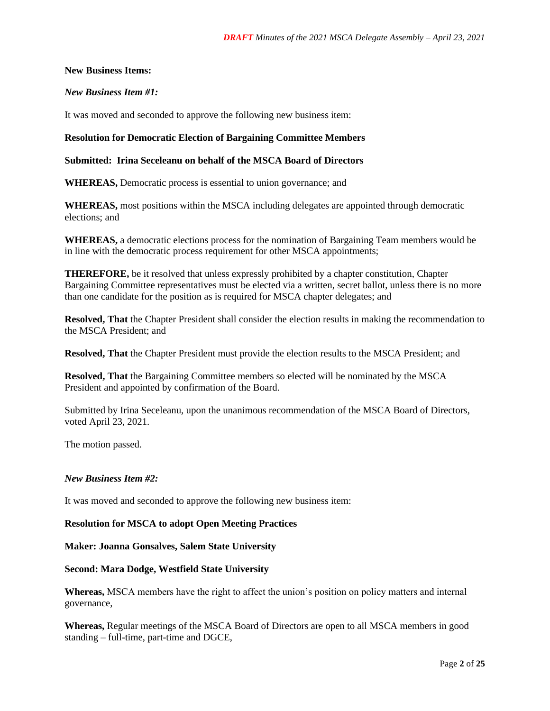### **New Business Items:**

## *New Business Item #1:*

It was moved and seconded to approve the following new business item:

## **Resolution for Democratic Election of Bargaining Committee Members**

### **Submitted: Irina Seceleanu on behalf of the MSCA Board of Directors**

**WHEREAS,** Democratic process is essential to union governance; and

**WHEREAS,** most positions within the MSCA including delegates are appointed through democratic elections; and

**WHEREAS,** a democratic elections process for the nomination of Bargaining Team members would be in line with the democratic process requirement for other MSCA appointments;

**THEREFORE,** be it resolved that unless expressly prohibited by a chapter constitution, Chapter Bargaining Committee representatives must be elected via a written, secret ballot, unless there is no more than one candidate for the position as is required for MSCA chapter delegates; and

**Resolved, That** the Chapter President shall consider the election results in making the recommendation to the MSCA President; and

**Resolved, That** the Chapter President must provide the election results to the MSCA President; and

**Resolved, That** the Bargaining Committee members so elected will be nominated by the MSCA President and appointed by confirmation of the Board.

Submitted by Irina Seceleanu, upon the unanimous recommendation of the MSCA Board of Directors, voted April 23, 2021.

The motion passed.

### *New Business Item #2:*

It was moved and seconded to approve the following new business item:

### **Resolution for MSCA to adopt Open Meeting Practices**

### **Maker: Joanna Gonsalves, Salem State University**

### **Second: Mara Dodge, Westfield State University**

**Whereas,** MSCA members have the right to affect the union's position on policy matters and internal governance,

**Whereas,** Regular meetings of the MSCA Board of Directors are open to all MSCA members in good standing – full-time, part-time and DGCE,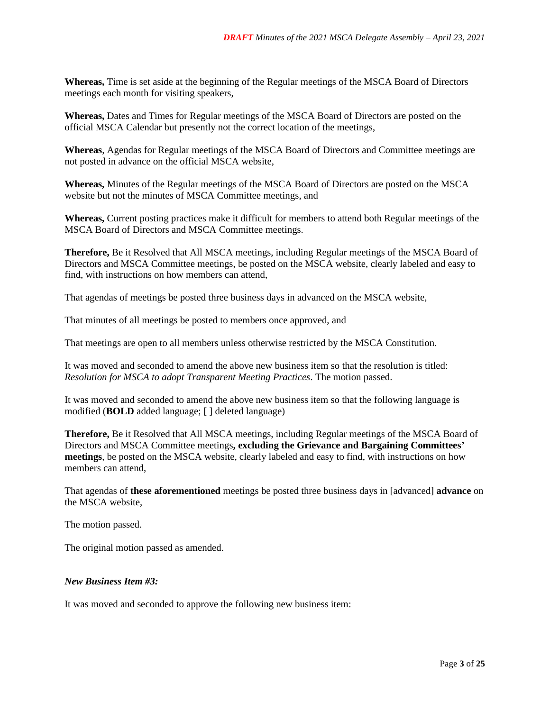**Whereas,** Time is set aside at the beginning of the Regular meetings of the MSCA Board of Directors meetings each month for visiting speakers,

**Whereas,** Dates and Times for Regular meetings of the MSCA Board of Directors are posted on the official MSCA Calendar but presently not the correct location of the meetings,

**Whereas**, Agendas for Regular meetings of the MSCA Board of Directors and Committee meetings are not posted in advance on the official MSCA website,

**Whereas,** Minutes of the Regular meetings of the MSCA Board of Directors are posted on the MSCA website but not the minutes of MSCA Committee meetings, and

**Whereas,** Current posting practices make it difficult for members to attend both Regular meetings of the MSCA Board of Directors and MSCA Committee meetings.

**Therefore,** Be it Resolved that All MSCA meetings, including Regular meetings of the MSCA Board of Directors and MSCA Committee meetings, be posted on the MSCA website, clearly labeled and easy to find, with instructions on how members can attend,

That agendas of meetings be posted three business days in advanced on the MSCA website,

That minutes of all meetings be posted to members once approved, and

That meetings are open to all members unless otherwise restricted by the MSCA Constitution.

It was moved and seconded to amend the above new business item so that the resolution is titled: *Resolution for MSCA to adopt Transparent Meeting Practices*. The motion passed.

It was moved and seconded to amend the above new business item so that the following language is modified (**BOLD** added language; [ ] deleted language)

**Therefore,** Be it Resolved that All MSCA meetings, including Regular meetings of the MSCA Board of Directors and MSCA Committee meetings**, excluding the Grievance and Bargaining Committees' meetings**, be posted on the MSCA website, clearly labeled and easy to find, with instructions on how members can attend,

That agendas of **these aforementioned** meetings be posted three business days in [advanced] **advance** on the MSCA website,

The motion passed.

The original motion passed as amended.

### *New Business Item #3:*

It was moved and seconded to approve the following new business item: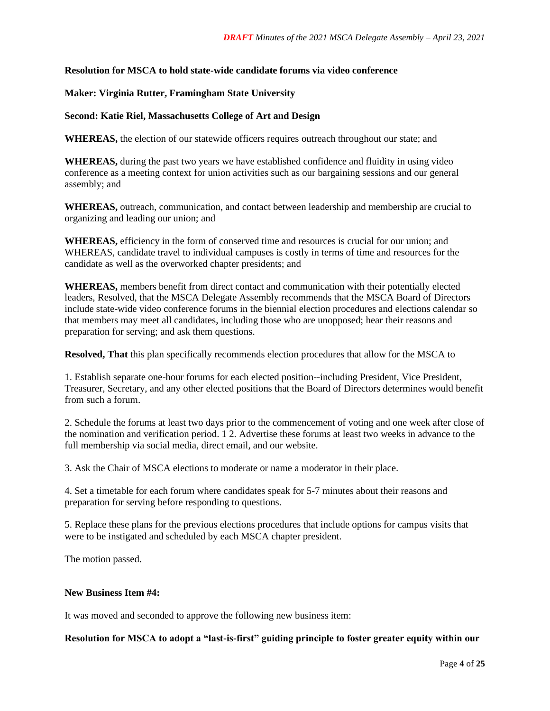### **Resolution for MSCA to hold state-wide candidate forums via video conference**

### **Maker: Virginia Rutter, Framingham State University**

### **Second: Katie Riel, Massachusetts College of Art and Design**

**WHEREAS,** the election of our statewide officers requires outreach throughout our state; and

**WHEREAS,** during the past two years we have established confidence and fluidity in using video conference as a meeting context for union activities such as our bargaining sessions and our general assembly; and

**WHEREAS,** outreach, communication, and contact between leadership and membership are crucial to organizing and leading our union; and

**WHEREAS,** efficiency in the form of conserved time and resources is crucial for our union; and WHEREAS, candidate travel to individual campuses is costly in terms of time and resources for the candidate as well as the overworked chapter presidents; and

**WHEREAS,** members benefit from direct contact and communication with their potentially elected leaders, Resolved, that the MSCA Delegate Assembly recommends that the MSCA Board of Directors include state-wide video conference forums in the biennial election procedures and elections calendar so that members may meet all candidates, including those who are unopposed; hear their reasons and preparation for serving; and ask them questions.

**Resolved, That** this plan specifically recommends election procedures that allow for the MSCA to

1. Establish separate one-hour forums for each elected position--including President, Vice President, Treasurer, Secretary, and any other elected positions that the Board of Directors determines would benefit from such a forum.

2. Schedule the forums at least two days prior to the commencement of voting and one week after close of the nomination and verification period. 1 2. Advertise these forums at least two weeks in advance to the full membership via social media, direct email, and our website.

3. Ask the Chair of MSCA elections to moderate or name a moderator in their place.

4. Set a timetable for each forum where candidates speak for 5-7 minutes about their reasons and preparation for serving before responding to questions.

5. Replace these plans for the previous elections procedures that include options for campus visits that were to be instigated and scheduled by each MSCA chapter president.

The motion passed.

#### **New Business Item #4:**

It was moved and seconded to approve the following new business item:

**Resolution for MSCA to adopt a "last-is-first" guiding principle to foster greater equity within our**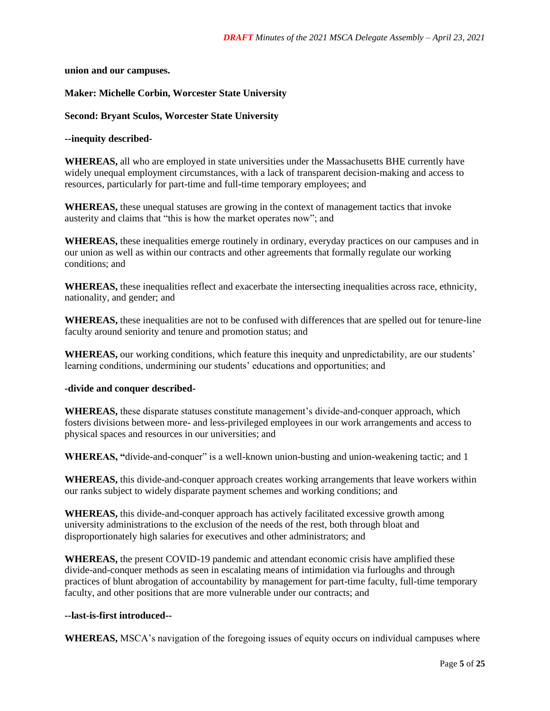**union and our campuses.**

## **Maker: Michelle Corbin, Worcester State University**

**Second: Bryant Sculos, Worcester State University** 

**--inequity described-**

**WHEREAS,** all who are employed in state universities under the Massachusetts BHE currently have widely unequal employment circumstances, with a lack of transparent decision-making and access to resources, particularly for part-time and full-time temporary employees; and

**WHEREAS,** these unequal statuses are growing in the context of management tactics that invoke austerity and claims that "this is how the market operates now"; and

**WHEREAS,** these inequalities emerge routinely in ordinary, everyday practices on our campuses and in our union as well as within our contracts and other agreements that formally regulate our working conditions; and

**WHEREAS,** these inequalities reflect and exacerbate the intersecting inequalities across race, ethnicity, nationality, and gender; and

**WHEREAS,** these inequalities are not to be confused with differences that are spelled out for tenure-line faculty around seniority and tenure and promotion status; and

**WHEREAS,** our working conditions, which feature this inequity and unpredictability, are our students' learning conditions, undermining our students' educations and opportunities; and

### **-divide and conquer described-**

**WHEREAS,** these disparate statuses constitute management's divide-and-conquer approach, which fosters divisions between more- and less-privileged employees in our work arrangements and access to physical spaces and resources in our universities; and

**WHEREAS, "**divide-and-conquer" is a well-known union-busting and union-weakening tactic; and 1

**WHEREAS,** this divide-and-conquer approach creates working arrangements that leave workers within our ranks subject to widely disparate payment schemes and working conditions; and

**WHEREAS,** this divide-and-conquer approach has actively facilitated excessive growth among university administrations to the exclusion of the needs of the rest, both through bloat and disproportionately high salaries for executives and other administrators; and

**WHEREAS,** the present COVID-19 pandemic and attendant economic crisis have amplified these divide-and-conquer methods as seen in escalating means of intimidation via furloughs and through practices of blunt abrogation of accountability by management for part-time faculty, full-time temporary faculty, and other positions that are more vulnerable under our contracts; and

### **--last-is-first introduced--**

**WHEREAS,** MSCA's navigation of the foregoing issues of equity occurs on individual campuses where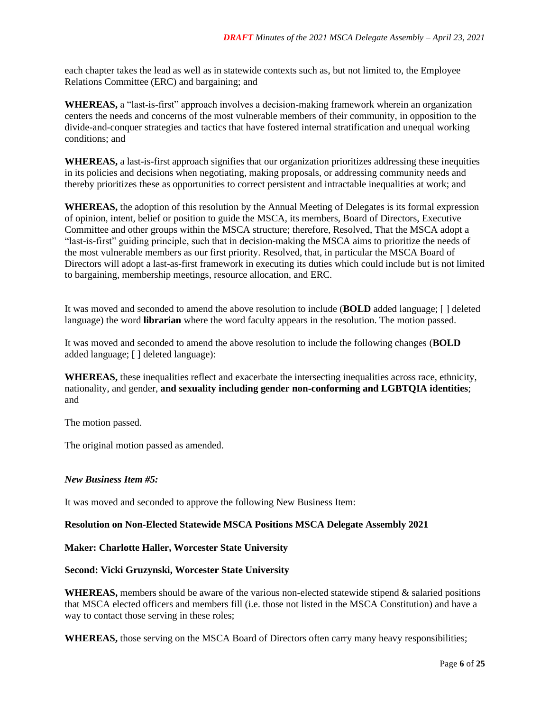each chapter takes the lead as well as in statewide contexts such as, but not limited to, the Employee Relations Committee (ERC) and bargaining; and

**WHEREAS,** a "last-is-first" approach involves a decision-making framework wherein an organization centers the needs and concerns of the most vulnerable members of their community, in opposition to the divide-and-conquer strategies and tactics that have fostered internal stratification and unequal working conditions; and

**WHEREAS,** a last-is-first approach signifies that our organization prioritizes addressing these inequities in its policies and decisions when negotiating, making proposals, or addressing community needs and thereby prioritizes these as opportunities to correct persistent and intractable inequalities at work; and

**WHEREAS,** the adoption of this resolution by the Annual Meeting of Delegates is its formal expression of opinion, intent, belief or position to guide the MSCA, its members, Board of Directors, Executive Committee and other groups within the MSCA structure; therefore, Resolved, That the MSCA adopt a "last-is-first" guiding principle, such that in decision-making the MSCA aims to prioritize the needs of the most vulnerable members as our first priority. Resolved, that, in particular the MSCA Board of Directors will adopt a last-as-first framework in executing its duties which could include but is not limited to bargaining, membership meetings, resource allocation, and ERC.

It was moved and seconded to amend the above resolution to include (**BOLD** added language; [ ] deleted language) the word **librarian** where the word faculty appears in the resolution. The motion passed.

It was moved and seconded to amend the above resolution to include the following changes (**BOLD** added language; [ ] deleted language):

**WHEREAS,** these inequalities reflect and exacerbate the intersecting inequalities across race, ethnicity, nationality, and gender, **and sexuality including gender non-conforming and LGBTQIA identities**; and

The motion passed.

The original motion passed as amended.

### *New Business Item #5:*

It was moved and seconded to approve the following New Business Item:

### **Resolution on Non-Elected Statewide MSCA Positions MSCA Delegate Assembly 2021**

### **Maker: Charlotte Haller, Worcester State University**

### **Second: Vicki Gruzynski, Worcester State University**

**WHEREAS,** members should be aware of the various non-elected statewide stipend & salaried positions that MSCA elected officers and members fill (i.e. those not listed in the MSCA Constitution) and have a way to contact those serving in these roles;

**WHEREAS,** those serving on the MSCA Board of Directors often carry many heavy responsibilities;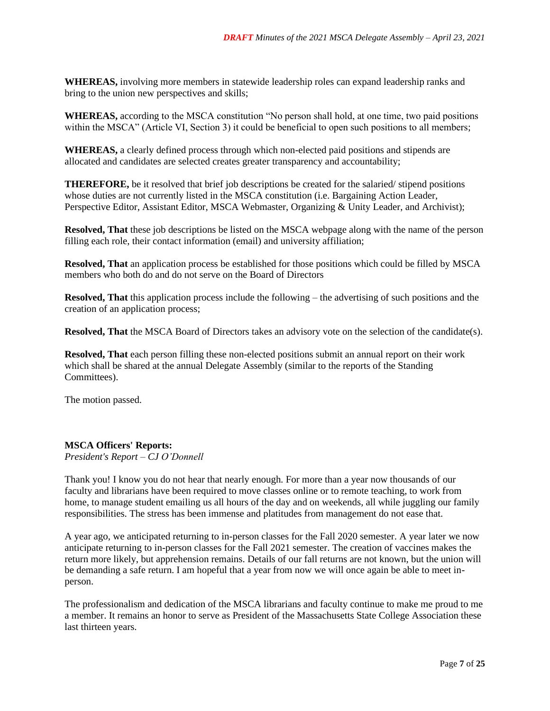**WHEREAS,** involving more members in statewide leadership roles can expand leadership ranks and bring to the union new perspectives and skills;

**WHEREAS,** according to the MSCA constitution "No person shall hold, at one time, two paid positions within the MSCA" (Article VI, Section 3) it could be beneficial to open such positions to all members;

**WHEREAS,** a clearly defined process through which non-elected paid positions and stipends are allocated and candidates are selected creates greater transparency and accountability;

**THEREFORE,** be it resolved that brief job descriptions be created for the salaried/ stipend positions whose duties are not currently listed in the MSCA constitution (i.e. Bargaining Action Leader, Perspective Editor, Assistant Editor, MSCA Webmaster, Organizing & Unity Leader, and Archivist);

**Resolved, That** these job descriptions be listed on the MSCA webpage along with the name of the person filling each role, their contact information (email) and university affiliation;

**Resolved, That** an application process be established for those positions which could be filled by MSCA members who both do and do not serve on the Board of Directors

**Resolved, That** this application process include the following – the advertising of such positions and the creation of an application process;

**Resolved, That** the MSCA Board of Directors takes an advisory vote on the selection of the candidate(s).

**Resolved, That** each person filling these non-elected positions submit an annual report on their work which shall be shared at the annual Delegate Assembly (similar to the reports of the Standing Committees).

The motion passed.

### **MSCA Officers' Reports:**

*President's Report – CJ O'Donnell*

Thank you! I know you do not hear that nearly enough. For more than a year now thousands of our faculty and librarians have been required to move classes online or to remote teaching, to work from home, to manage student emailing us all hours of the day and on weekends, all while juggling our family responsibilities. The stress has been immense and platitudes from management do not ease that.

A year ago, we anticipated returning to in-person classes for the Fall 2020 semester. A year later we now anticipate returning to in-person classes for the Fall 2021 semester. The creation of vaccines makes the return more likely, but apprehension remains. Details of our fall returns are not known, but the union will be demanding a safe return. I am hopeful that a year from now we will once again be able to meet inperson.

The professionalism and dedication of the MSCA librarians and faculty continue to make me proud to me a member. It remains an honor to serve as President of the Massachusetts State College Association these last thirteen years.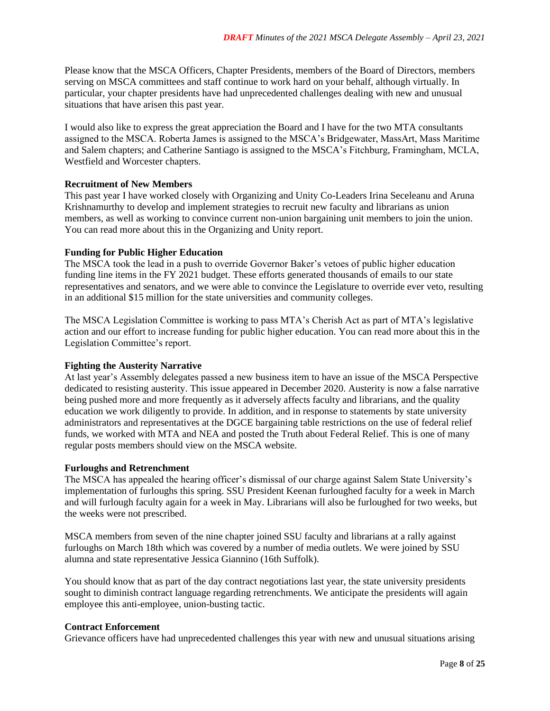Please know that the MSCA Officers, Chapter Presidents, members of the Board of Directors, members serving on MSCA committees and staff continue to work hard on your behalf, although virtually. In particular, your chapter presidents have had unprecedented challenges dealing with new and unusual situations that have arisen this past year.

I would also like to express the great appreciation the Board and I have for the two MTA consultants assigned to the MSCA. Roberta James is assigned to the MSCA's Bridgewater, MassArt, Mass Maritime and Salem chapters; and Catherine Santiago is assigned to the MSCA's Fitchburg, Framingham, MCLA, Westfield and Worcester chapters.

# **Recruitment of New Members**

This past year I have worked closely with Organizing and Unity Co-Leaders Irina Seceleanu and Aruna Krishnamurthy to develop and implement strategies to recruit new faculty and librarians as union members, as well as working to convince current non-union bargaining unit members to join the union. You can read more about this in the Organizing and Unity report.

### **Funding for Public Higher Education**

The MSCA took the lead in a push to override Governor Baker's vetoes of public higher education funding line items in the FY 2021 budget. These efforts generated thousands of emails to our state representatives and senators, and we were able to convince the Legislature to override ever veto, resulting in an additional \$15 million for the state universities and community colleges.

The MSCA Legislation Committee is working to pass MTA's Cherish Act as part of MTA's legislative action and our effort to increase funding for public higher education. You can read more about this in the Legislation Committee's report.

# **Fighting the Austerity Narrative**

At last year's Assembly delegates passed a new business item to have an issue of the MSCA Perspective dedicated to resisting austerity. This issue appeared in December 2020. Austerity is now a false narrative being pushed more and more frequently as it adversely affects faculty and librarians, and the quality education we work diligently to provide. In addition, and in response to statements by state university administrators and representatives at the DGCE bargaining table restrictions on the use of federal relief funds, we worked with MTA and NEA and posted the Truth about Federal Relief. This is one of many regular posts members should view on the MSCA website.

### **Furloughs and Retrenchment**

The MSCA has appealed the hearing officer's dismissal of our charge against Salem State University's implementation of furloughs this spring. SSU President Keenan furloughed faculty for a week in March and will furlough faculty again for a week in May. Librarians will also be furloughed for two weeks, but the weeks were not prescribed.

MSCA members from seven of the nine chapter joined SSU faculty and librarians at a rally against furloughs on March 18th which was covered by a number of media outlets. We were joined by SSU alumna and state representative Jessica Giannino (16th Suffolk).

You should know that as part of the day contract negotiations last year, the state university presidents sought to diminish contract language regarding retrenchments. We anticipate the presidents will again employee this anti-employee, union-busting tactic.

### **Contract Enforcement**

Grievance officers have had unprecedented challenges this year with new and unusual situations arising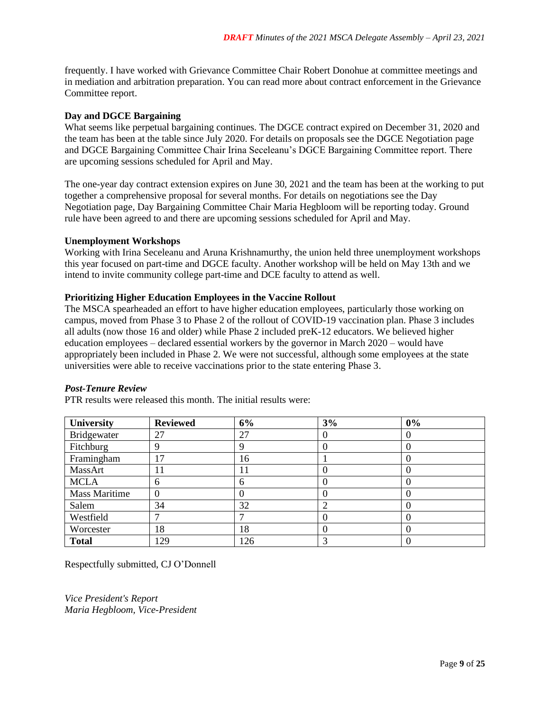frequently. I have worked with Grievance Committee Chair Robert Donohue at committee meetings and in mediation and arbitration preparation. You can read more about contract enforcement in the Grievance Committee report.

## **Day and DGCE Bargaining**

What seems like perpetual bargaining continues. The DGCE contract expired on December 31, 2020 and the team has been at the table since July 2020. For details on proposals see the DGCE Negotiation page and DGCE Bargaining Committee Chair Irina Seceleanu's DGCE Bargaining Committee report. There are upcoming sessions scheduled for April and May.

The one-year day contract extension expires on June 30, 2021 and the team has been at the working to put together a comprehensive proposal for several months. For details on negotiations see the Day Negotiation page, Day Bargaining Committee Chair Maria Hegbloom will be reporting today. Ground rule have been agreed to and there are upcoming sessions scheduled for April and May.

### **Unemployment Workshops**

Working with Irina Seceleanu and Aruna Krishnamurthy, the union held three unemployment workshops this year focused on part-time and DGCE faculty. Another workshop will be held on May 13th and we intend to invite community college part-time and DCE faculty to attend as well.

### **Prioritizing Higher Education Employees in the Vaccine Rollout**

The MSCA spearheaded an effort to have higher education employees, particularly those working on campus, moved from Phase 3 to Phase 2 of the rollout of COVID-19 vaccination plan. Phase 3 includes all adults (now those 16 and older) while Phase 2 included preK-12 educators. We believed higher education employees – declared essential workers by the governor in March 2020 – would have appropriately been included in Phase 2. We were not successful, although some employees at the state universities were able to receive vaccinations prior to the state entering Phase 3.

### *Post-Tenure Review*

PTR results were released this month. The initial results were:

| <b>University</b>    | <b>Reviewed</b> | 6%  | 3% | 0% |
|----------------------|-----------------|-----|----|----|
| Bridgewater          | 27              | 27  | 0  | 0  |
| Fitchburg            | 9               |     |    |    |
| Framingham           | 17              | 16  |    | 0  |
| MassArt              | 11              | 11  |    |    |
| <b>MCLA</b>          | 6               | 6   | 0  |    |
| <b>Mass Maritime</b> | $\theta$        |     |    | 0  |
| Salem                | 34              | 32  | ി  | O  |
| Westfield            |                 |     | 0  |    |
| Worcester            | 18              | 18  |    |    |
| <b>Total</b>         | 129             | 126 | 3  |    |

Respectfully submitted, CJ O'Donnell

*Vice President's Report Maria Hegbloom, Vice-President*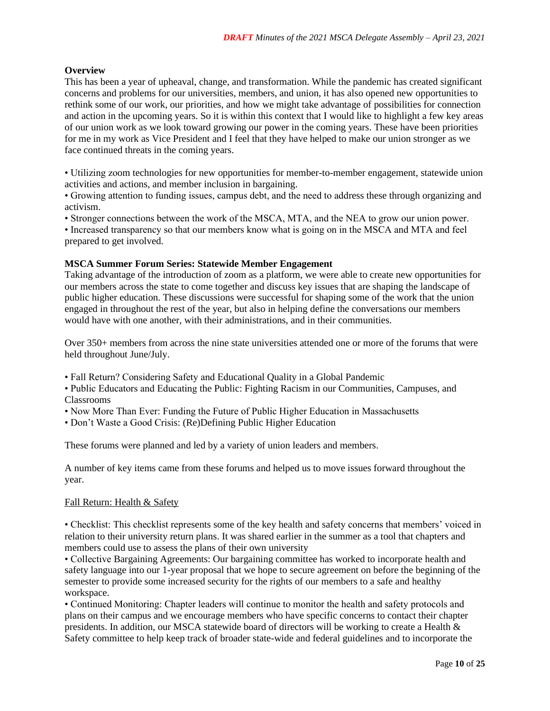# **Overview**

This has been a year of upheaval, change, and transformation. While the pandemic has created significant concerns and problems for our universities, members, and union, it has also opened new opportunities to rethink some of our work, our priorities, and how we might take advantage of possibilities for connection and action in the upcoming years. So it is within this context that I would like to highlight a few key areas of our union work as we look toward growing our power in the coming years. These have been priorities for me in my work as Vice President and I feel that they have helped to make our union stronger as we face continued threats in the coming years.

• Utilizing zoom technologies for new opportunities for member-to-member engagement, statewide union activities and actions, and member inclusion in bargaining.

• Growing attention to funding issues, campus debt, and the need to address these through organizing and activism.

• Stronger connections between the work of the MSCA, MTA, and the NEA to grow our union power.

• Increased transparency so that our members know what is going on in the MSCA and MTA and feel prepared to get involved.

# **MSCA Summer Forum Series: Statewide Member Engagement**

Taking advantage of the introduction of zoom as a platform, we were able to create new opportunities for our members across the state to come together and discuss key issues that are shaping the landscape of public higher education. These discussions were successful for shaping some of the work that the union engaged in throughout the rest of the year, but also in helping define the conversations our members would have with one another, with their administrations, and in their communities.

Over 350+ members from across the nine state universities attended one or more of the forums that were held throughout June/July.

- Fall Return? Considering Safety and Educational Quality in a Global Pandemic
- Public Educators and Educating the Public: Fighting Racism in our Communities, Campuses, and Classrooms
- Now More Than Ever: Funding the Future of Public Higher Education in Massachusetts
- Don't Waste a Good Crisis: (Re)Defining Public Higher Education

These forums were planned and led by a variety of union leaders and members.

A number of key items came from these forums and helped us to move issues forward throughout the year.

# Fall Return: Health & Safety

• Checklist: This checklist represents some of the key health and safety concerns that members' voiced in relation to their university return plans. It was shared earlier in the summer as a tool that chapters and members could use to assess the plans of their own university

• Collective Bargaining Agreements: Our bargaining committee has worked to incorporate health and safety language into our 1-year proposal that we hope to secure agreement on before the beginning of the semester to provide some increased security for the rights of our members to a safe and healthy workspace.

• Continued Monitoring: Chapter leaders will continue to monitor the health and safety protocols and plans on their campus and we encourage members who have specific concerns to contact their chapter presidents. In addition, our MSCA statewide board of directors will be working to create a Health & Safety committee to help keep track of broader state-wide and federal guidelines and to incorporate the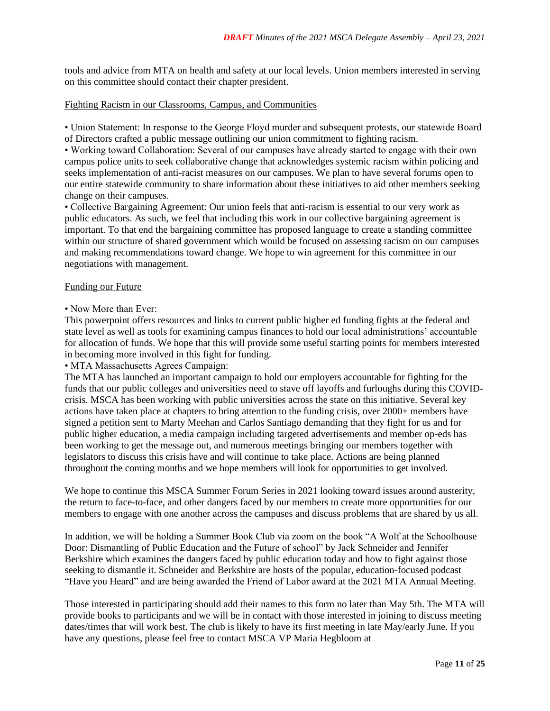tools and advice from MTA on health and safety at our local levels. Union members interested in serving on this committee should contact their chapter president.

### Fighting Racism in our Classrooms, Campus, and Communities

• Union Statement: In response to the George Floyd murder and subsequent protests, our statewide Board of Directors crafted a public message outlining our union commitment to fighting racism.

• Working toward Collaboration: Several of our campuses have already started to engage with their own campus police units to seek collaborative change that acknowledges systemic racism within policing and seeks implementation of anti-racist measures on our campuses. We plan to have several forums open to our entire statewide community to share information about these initiatives to aid other members seeking change on their campuses.

• Collective Bargaining Agreement: Our union feels that anti-racism is essential to our very work as public educators. As such, we feel that including this work in our collective bargaining agreement is important. To that end the bargaining committee has proposed language to create a standing committee within our structure of shared government which would be focused on assessing racism on our campuses and making recommendations toward change. We hope to win agreement for this committee in our negotiations with management.

### Funding our Future

• Now More than Ever:

This powerpoint offers resources and links to current public higher ed funding fights at the federal and state level as well as tools for examining campus finances to hold our local administrations' accountable for allocation of funds. We hope that this will provide some useful starting points for members interested in becoming more involved in this fight for funding.

• MTA Massachusetts Agrees Campaign:

The MTA has launched an important campaign to hold our employers accountable for fighting for the funds that our public colleges and universities need to stave off layoffs and furloughs during this COVIDcrisis. MSCA has been working with public universities across the state on this initiative. Several key actions have taken place at chapters to bring attention to the funding crisis, over 2000+ members have signed a petition sent to Marty Meehan and Carlos Santiago demanding that they fight for us and for public higher education, a media campaign including targeted advertisements and member op-eds has been working to get the message out, and numerous meetings bringing our members together with legislators to discuss this crisis have and will continue to take place. Actions are being planned throughout the coming months and we hope members will look for opportunities to get involved.

We hope to continue this MSCA Summer Forum Series in 2021 looking toward issues around austerity, the return to face-to-face, and other dangers faced by our members to create more opportunities for our members to engage with one another across the campuses and discuss problems that are shared by us all.

In addition, we will be holding a Summer Book Club via zoom on the book "A Wolf at the Schoolhouse Door: Dismantling of Public Education and the Future of school" by Jack Schneider and Jennifer Berkshire which examines the dangers faced by public education today and how to fight against those seeking to dismantle it. Schneider and Berkshire are hosts of the popular, education-focused podcast "Have you Heard" and are being awarded the Friend of Labor award at the 2021 MTA Annual Meeting.

Those interested in participating should add their names to this form no later than May 5th. The MTA will provide books to participants and we will be in contact with those interested in joining to discuss meeting dates/times that will work best. The club is likely to have its first meeting in late May/early June. If you have any questions, please feel free to contact MSCA VP Maria Hegbloom at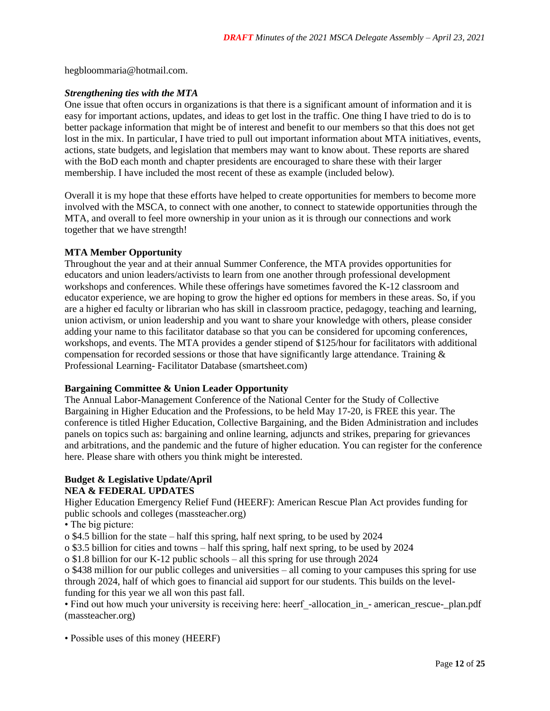hegbloommaria@hotmail.com.

# *Strengthening ties with the MTA*

One issue that often occurs in organizations is that there is a significant amount of information and it is easy for important actions, updates, and ideas to get lost in the traffic. One thing I have tried to do is to better package information that might be of interest and benefit to our members so that this does not get lost in the mix. In particular, I have tried to pull out important information about MTA initiatives, events, actions, state budgets, and legislation that members may want to know about. These reports are shared with the BoD each month and chapter presidents are encouraged to share these with their larger membership. I have included the most recent of these as example (included below).

Overall it is my hope that these efforts have helped to create opportunities for members to become more involved with the MSCA, to connect with one another, to connect to statewide opportunities through the MTA, and overall to feel more ownership in your union as it is through our connections and work together that we have strength!

### **MTA Member Opportunity**

Throughout the year and at their annual Summer Conference, the MTA provides opportunities for educators and union leaders/activists to learn from one another through professional development workshops and conferences. While these offerings have sometimes favored the K-12 classroom and educator experience, we are hoping to grow the higher ed options for members in these areas. So, if you are a higher ed faculty or librarian who has skill in classroom practice, pedagogy, teaching and learning, union activism, or union leadership and you want to share your knowledge with others, please consider adding your name to this facilitator database so that you can be considered for upcoming conferences, workshops, and events. The MTA provides a gender stipend of \$125/hour for facilitators with additional compensation for recorded sessions or those that have significantly large attendance. Training  $\&$ Professional Learning- Facilitator Database (smartsheet.com)

# **Bargaining Committee & Union Leader Opportunity**

The Annual Labor-Management Conference of the National Center for the Study of Collective Bargaining in Higher Education and the Professions, to be held May 17-20, is FREE this year. The conference is titled Higher Education, Collective Bargaining, and the Biden Administration and includes panels on topics such as: bargaining and online learning, adjuncts and strikes, preparing for grievances and arbitrations, and the pandemic and the future of higher education. You can register for the conference here. Please share with others you think might be interested.

# **Budget & Legislative Update/April NEA & FEDERAL UPDATES**

Higher Education Emergency Relief Fund (HEERF): American Rescue Plan Act provides funding for public schools and colleges (massteacher.org)

• The big picture:

o \$4.5 billion for the state – half this spring, half next spring, to be used by 2024

o \$3.5 billion for cities and towns – half this spring, half next spring, to be used by 2024

o \$1.8 billion for our K-12 public schools – all this spring for use through 2024

o \$438 million for our public colleges and universities – all coming to your campuses this spring for use through 2024, half of which goes to financial aid support for our students. This builds on the levelfunding for this year we all won this past fall.

• Find out how much your university is receiving here: heerf-allocation in - american rescue- plan.pdf (massteacher.org)

• Possible uses of this money (HEERF)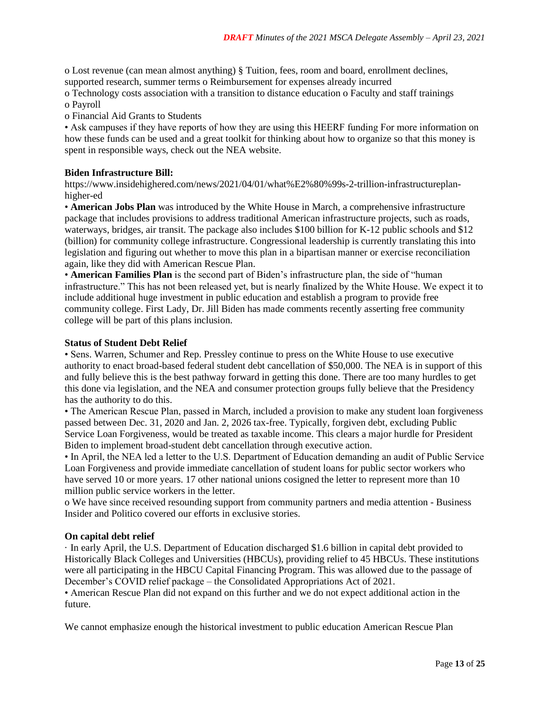o Lost revenue (can mean almost anything) § Tuition, fees, room and board, enrollment declines, supported research, summer terms o Reimbursement for expenses already incurred

o Technology costs association with a transition to distance education o Faculty and staff trainings o Payroll

o Financial Aid Grants to Students

• Ask campuses if they have reports of how they are using this HEERF funding For more information on how these funds can be used and a great toolkit for thinking about how to organize so that this money is spent in responsible ways, check out the NEA website.

# **Biden Infrastructure Bill:**

https://www.insidehighered.com/news/2021/04/01/what%E2%80%99s-2-trillion-infrastructureplanhigher-ed

• **American Jobs Plan** was introduced by the White House in March, a comprehensive infrastructure package that includes provisions to address traditional American infrastructure projects, such as roads, waterways, bridges, air transit. The package also includes \$100 billion for K-12 public schools and \$12 (billion) for community college infrastructure. Congressional leadership is currently translating this into legislation and figuring out whether to move this plan in a bipartisan manner or exercise reconciliation again, like they did with American Rescue Plan.

• **American Families Plan** is the second part of Biden's infrastructure plan, the side of "human infrastructure." This has not been released yet, but is nearly finalized by the White House. We expect it to include additional huge investment in public education and establish a program to provide free community college. First Lady, Dr. Jill Biden has made comments recently asserting free community college will be part of this plans inclusion.

# **Status of Student Debt Relief**

• Sens. Warren, Schumer and Rep. Pressley continue to press on the White House to use executive authority to enact broad-based federal student debt cancellation of \$50,000. The NEA is in support of this and fully believe this is the best pathway forward in getting this done. There are too many hurdles to get this done via legislation, and the NEA and consumer protection groups fully believe that the Presidency has the authority to do this.

• The American Rescue Plan, passed in March, included a provision to make any student loan forgiveness passed between Dec. 31, 2020 and Jan. 2, 2026 tax-free. Typically, forgiven debt, excluding Public Service Loan Forgiveness, would be treated as taxable income. This clears a major hurdle for President Biden to implement broad-student debt cancellation through executive action.

• In April, the NEA led a letter to the U.S. Department of Education demanding an audit of Public Service Loan Forgiveness and provide immediate cancellation of student loans for public sector workers who have served 10 or more years. 17 other national unions cosigned the letter to represent more than 10 million public service workers in the letter.

o We have since received resounding support from community partners and media attention - Business Insider and Politico covered our efforts in exclusive stories.

# **On capital debt relief**

· In early April, the U.S. Department of Education discharged \$1.6 billion in capital debt provided to Historically Black Colleges and Universities (HBCUs), providing relief to 45 HBCUs. These institutions were all participating in the HBCU Capital Financing Program. This was allowed due to the passage of December's COVID relief package – the Consolidated Appropriations Act of 2021.

• American Rescue Plan did not expand on this further and we do not expect additional action in the future.

We cannot emphasize enough the historical investment to public education American Rescue Plan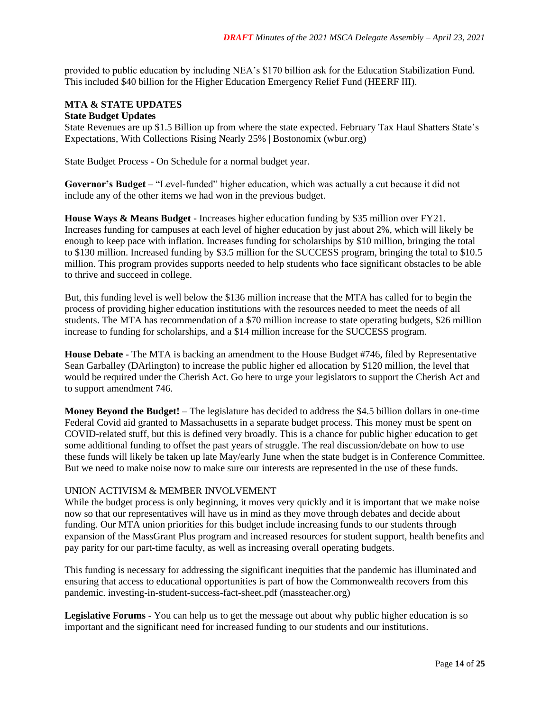provided to public education by including NEA's \$170 billion ask for the Education Stabilization Fund. This included \$40 billion for the Higher Education Emergency Relief Fund (HEERF III).

### **MTA & STATE UPDATES State Budget Updates**

State Revenues are up \$1.5 Billion up from where the state expected. February Tax Haul Shatters State's Expectations, With Collections Rising Nearly 25% | Bostonomix (wbur.org)

State Budget Process - On Schedule for a normal budget year.

**Governor's Budget** – "Level-funded" higher education, which was actually a cut because it did not include any of the other items we had won in the previous budget.

**House Ways & Means Budget** - Increases higher education funding by \$35 million over FY21. Increases funding for campuses at each level of higher education by just about 2%, which will likely be enough to keep pace with inflation. Increases funding for scholarships by \$10 million, bringing the total to \$130 million. Increased funding by \$3.5 million for the SUCCESS program, bringing the total to \$10.5 million. This program provides supports needed to help students who face significant obstacles to be able to thrive and succeed in college.

But, this funding level is well below the \$136 million increase that the MTA has called for to begin the process of providing higher education institutions with the resources needed to meet the needs of all students. The MTA has recommendation of a \$70 million increase to state operating budgets, \$26 million increase to funding for scholarships, and a \$14 million increase for the SUCCESS program.

**House Debate** - The MTA is backing an amendment to the House Budget #746, filed by Representative Sean Garballey (DArlington) to increase the public higher ed allocation by \$120 million, the level that would be required under the Cherish Act. Go here to urge your legislators to support the Cherish Act and to support amendment 746.

**Money Beyond the Budget!** – The legislature has decided to address the \$4.5 billion dollars in one-time Federal Covid aid granted to Massachusetts in a separate budget process. This money must be spent on COVID-related stuff, but this is defined very broadly. This is a chance for public higher education to get some additional funding to offset the past years of struggle. The real discussion/debate on how to use these funds will likely be taken up late May/early June when the state budget is in Conference Committee. But we need to make noise now to make sure our interests are represented in the use of these funds.

# UNION ACTIVISM & MEMBER INVOLVEMENT

While the budget process is only beginning, it moves very quickly and it is important that we make noise now so that our representatives will have us in mind as they move through debates and decide about funding. Our MTA union priorities for this budget include increasing funds to our students through expansion of the MassGrant Plus program and increased resources for student support, health benefits and pay parity for our part-time faculty, as well as increasing overall operating budgets.

This funding is necessary for addressing the significant inequities that the pandemic has illuminated and ensuring that access to educational opportunities is part of how the Commonwealth recovers from this pandemic. investing-in-student-success-fact-sheet.pdf (massteacher.org)

**Legislative Forums** - You can help us to get the message out about why public higher education is so important and the significant need for increased funding to our students and our institutions.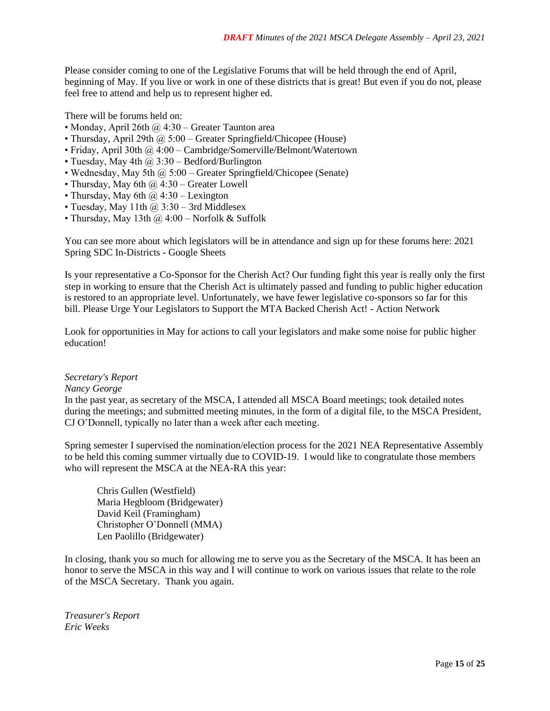Please consider coming to one of the Legislative Forums that will be held through the end of April, beginning of May. If you live or work in one of these districts that is great! But even if you do not, please feel free to attend and help us to represent higher ed.

There will be forums held on:

- Monday, April 26th  $\omega$  4:30 Greater Taunton area
- Thursday, April 29th @ 5:00 Greater Springfield/Chicopee (House)
- Friday, April 30th @ 4:00 Cambridge/Somerville/Belmont/Watertown
- Tuesday, May 4th  $\omega$  3:30 Bedford/Burlington
- Wednesday, May 5th  $\omega$  5:00 Greater Springfield/Chicopee (Senate)
- Thursday, May 6th  $\omega$  4:30 Greater Lowell
- Thursday, May 6th  $\omega$  4:30 Lexington
- Tuesday, May 11th  $\omega$  3:30 3rd Middlesex
- Thursday, May 13th  $\omega$  4:00 Norfolk & Suffolk

You can see more about which legislators will be in attendance and sign up for these forums here: 2021 Spring SDC In-Districts - Google Sheets

Is your representative a Co-Sponsor for the Cherish Act? Our funding fight this year is really only the first step in working to ensure that the Cherish Act is ultimately passed and funding to public higher education is restored to an appropriate level. Unfortunately, we have fewer legislative co-sponsors so far for this bill. Please Urge Your Legislators to Support the MTA Backed Cherish Act! - Action Network

Look for opportunities in May for actions to call your legislators and make some noise for public higher education!

### *Secretary's Report*

### *Nancy George*

In the past year, as secretary of the MSCA, I attended all MSCA Board meetings; took detailed notes during the meetings; and submitted meeting minutes, in the form of a digital file, to the MSCA President, CJ O'Donnell, typically no later than a week after each meeting.

Spring semester I supervised the nomination/election process for the 2021 NEA Representative Assembly to be held this coming summer virtually due to COVID-19. I would like to congratulate those members who will represent the MSCA at the NEA-RA this year:

Chris Gullen (Westfield) Maria Hegbloom (Bridgewater) David Keil (Framingham) Christopher O'Donnell (MMA) Len Paolillo (Bridgewater)

In closing, thank you so much for allowing me to serve you as the Secretary of the MSCA. It has been an honor to serve the MSCA in this way and I will continue to work on various issues that relate to the role of the MSCA Secretary. Thank you again.

*Treasurer's Report Eric Weeks*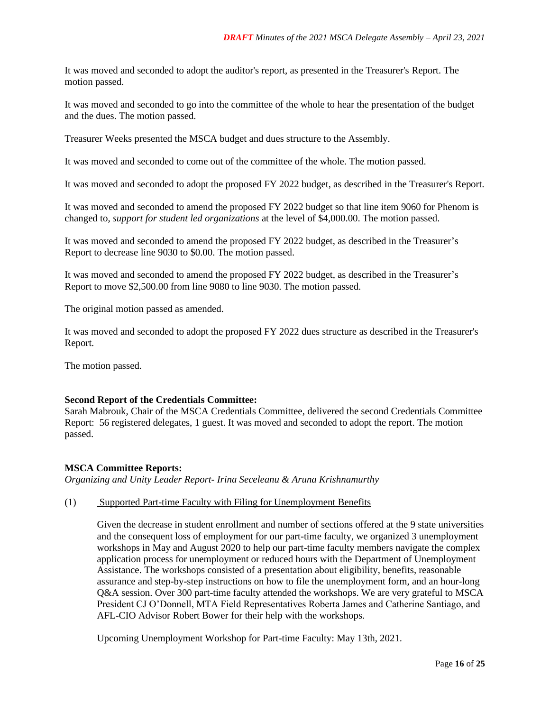It was moved and seconded to adopt the auditor's report, as presented in the Treasurer's Report. The motion passed.

It was moved and seconded to go into the committee of the whole to hear the presentation of the budget and the dues. The motion passed.

Treasurer Weeks presented the MSCA budget and dues structure to the Assembly.

It was moved and seconded to come out of the committee of the whole. The motion passed.

It was moved and seconded to adopt the proposed FY 2022 budget, as described in the Treasurer's Report.

It was moved and seconded to amend the proposed FY 2022 budget so that line item 9060 for Phenom is changed to, *support for student led organizations* at the level of \$4,000.00. The motion passed.

It was moved and seconded to amend the proposed FY 2022 budget, as described in the Treasurer's Report to decrease line 9030 to \$0.00. The motion passed.

It was moved and seconded to amend the proposed FY 2022 budget, as described in the Treasurer's Report to move \$2,500.00 from line 9080 to line 9030. The motion passed.

The original motion passed as amended.

It was moved and seconded to adopt the proposed FY 2022 dues structure as described in the Treasurer's Report.

The motion passed.

### **Second Report of the Credentials Committee:**

Sarah Mabrouk, Chair of the MSCA Credentials Committee, delivered the second Credentials Committee Report: 56 registered delegates, 1 guest. It was moved and seconded to adopt the report. The motion passed.

### **MSCA Committee Reports:**

*Organizing and Unity Leader Report- Irina Seceleanu & Aruna Krishnamurthy*

### (1) Supported Part-time Faculty with Filing for Unemployment Benefits

Given the decrease in student enrollment and number of sections offered at the 9 state universities and the consequent loss of employment for our part-time faculty, we organized 3 unemployment workshops in May and August 2020 to help our part-time faculty members navigate the complex application process for unemployment or reduced hours with the Department of Unemployment Assistance. The workshops consisted of a presentation about eligibility, benefits, reasonable assurance and step-by-step instructions on how to file the unemployment form, and an hour-long Q&A session. Over 300 part-time faculty attended the workshops. We are very grateful to MSCA President CJ O'Donnell, MTA Field Representatives Roberta James and Catherine Santiago, and AFL-CIO Advisor Robert Bower for their help with the workshops.

Upcoming Unemployment Workshop for Part-time Faculty: May 13th, 2021.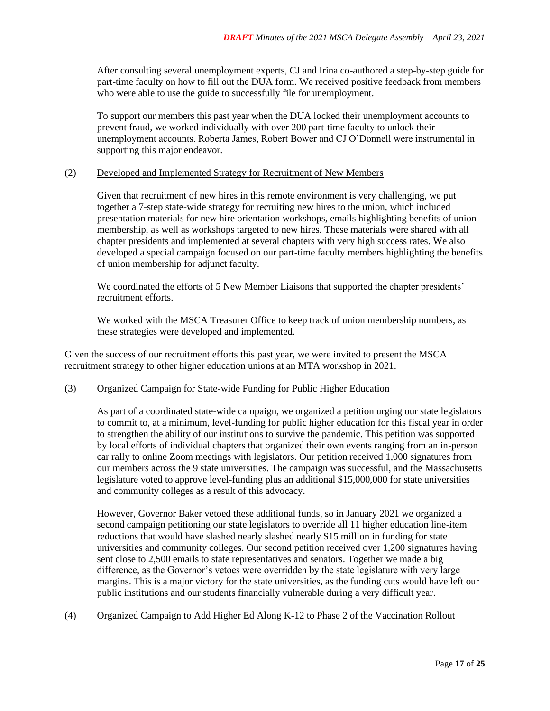After consulting several unemployment experts, CJ and Irina co-authored a step-by-step guide for part-time faculty on how to fill out the DUA form. We received positive feedback from members who were able to use the guide to successfully file for unemployment.

To support our members this past year when the DUA locked their unemployment accounts to prevent fraud, we worked individually with over 200 part-time faculty to unlock their unemployment accounts. Roberta James, Robert Bower and CJ O'Donnell were instrumental in supporting this major endeavor.

### (2) Developed and Implemented Strategy for Recruitment of New Members

Given that recruitment of new hires in this remote environment is very challenging, we put together a 7-step state-wide strategy for recruiting new hires to the union, which included presentation materials for new hire orientation workshops, emails highlighting benefits of union membership, as well as workshops targeted to new hires. These materials were shared with all chapter presidents and implemented at several chapters with very high success rates. We also developed a special campaign focused on our part-time faculty members highlighting the benefits of union membership for adjunct faculty.

We coordinated the efforts of 5 New Member Liaisons that supported the chapter presidents' recruitment efforts.

We worked with the MSCA Treasurer Office to keep track of union membership numbers, as these strategies were developed and implemented.

Given the success of our recruitment efforts this past year, we were invited to present the MSCA recruitment strategy to other higher education unions at an MTA workshop in 2021.

### (3) Organized Campaign for State-wide Funding for Public Higher Education

As part of a coordinated state-wide campaign, we organized a petition urging our state legislators to commit to, at a minimum, level-funding for public higher education for this fiscal year in order to strengthen the ability of our institutions to survive the pandemic. This petition was supported by local efforts of individual chapters that organized their own events ranging from an in-person car rally to online Zoom meetings with legislators. Our petition received 1,000 signatures from our members across the 9 state universities. The campaign was successful, and the Massachusetts legislature voted to approve level-funding plus an additional \$15,000,000 for state universities and community colleges as a result of this advocacy.

However, Governor Baker vetoed these additional funds, so in January 2021 we organized a second campaign petitioning our state legislators to override all 11 higher education line-item reductions that would have slashed nearly slashed nearly \$15 million in funding for state universities and community colleges. Our second petition received over 1,200 signatures having sent close to 2,500 emails to state representatives and senators. Together we made a big difference, as the Governor's vetoes were overridden by the state legislature with very large margins. This is a major victory for the state universities, as the funding cuts would have left our public institutions and our students financially vulnerable during a very difficult year.

(4) Organized Campaign to Add Higher Ed Along K-12 to Phase 2 of the Vaccination Rollout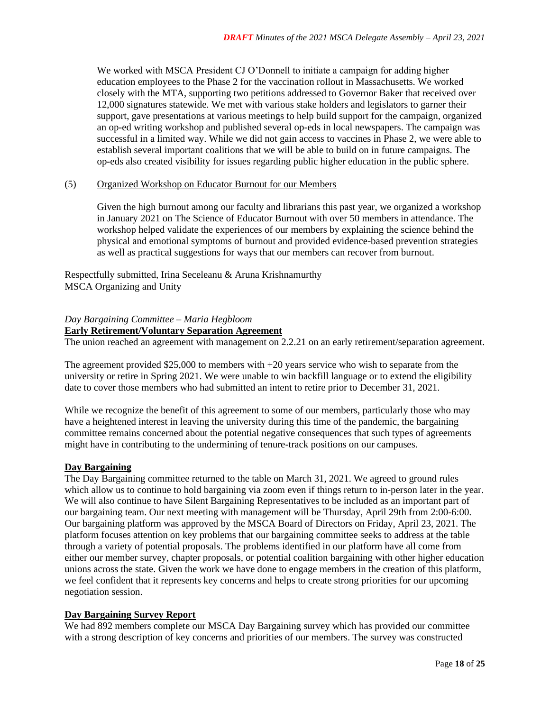We worked with MSCA President CJ O'Donnell to initiate a campaign for adding higher education employees to the Phase 2 for the vaccination rollout in Massachusetts. We worked closely with the MTA, supporting two petitions addressed to Governor Baker that received over 12,000 signatures statewide. We met with various stake holders and legislators to garner their support, gave presentations at various meetings to help build support for the campaign, organized an op-ed writing workshop and published several op-eds in local newspapers. The campaign was successful in a limited way. While we did not gain access to vaccines in Phase 2, we were able to establish several important coalitions that we will be able to build on in future campaigns. The op-eds also created visibility for issues regarding public higher education in the public sphere.

### (5) Organized Workshop on Educator Burnout for our Members

Given the high burnout among our faculty and librarians this past year, we organized a workshop in January 2021 on The Science of Educator Burnout with over 50 members in attendance. The workshop helped validate the experiences of our members by explaining the science behind the physical and emotional symptoms of burnout and provided evidence-based prevention strategies as well as practical suggestions for ways that our members can recover from burnout.

Respectfully submitted, Irina Seceleanu & Aruna Krishnamurthy MSCA Organizing and Unity

#### *Day Bargaining Committee – Maria Hegbloom* **Early Retirement/Voluntary Separation Agreement**

The union reached an agreement with management on 2.2.21 on an early retirement/separation agreement.

The agreement provided  $$25,000$  to members with  $+20$  years service who wish to separate from the university or retire in Spring 2021. We were unable to win backfill language or to extend the eligibility date to cover those members who had submitted an intent to retire prior to December 31, 2021.

While we recognize the benefit of this agreement to some of our members, particularly those who may have a heightened interest in leaving the university during this time of the pandemic, the bargaining committee remains concerned about the potential negative consequences that such types of agreements might have in contributing to the undermining of tenure-track positions on our campuses.

# **Day Bargaining**

The Day Bargaining committee returned to the table on March 31, 2021. We agreed to ground rules which allow us to continue to hold bargaining via zoom even if things return to in-person later in the year. We will also continue to have Silent Bargaining Representatives to be included as an important part of our bargaining team. Our next meeting with management will be Thursday, April 29th from 2:00-6:00. Our bargaining platform was approved by the MSCA Board of Directors on Friday, April 23, 2021. The platform focuses attention on key problems that our bargaining committee seeks to address at the table through a variety of potential proposals. The problems identified in our platform have all come from either our member survey, chapter proposals, or potential coalition bargaining with other higher education unions across the state. Given the work we have done to engage members in the creation of this platform, we feel confident that it represents key concerns and helps to create strong priorities for our upcoming negotiation session.

### **Day Bargaining Survey Report**

We had 892 members complete our MSCA Day Bargaining survey which has provided our committee with a strong description of key concerns and priorities of our members. The survey was constructed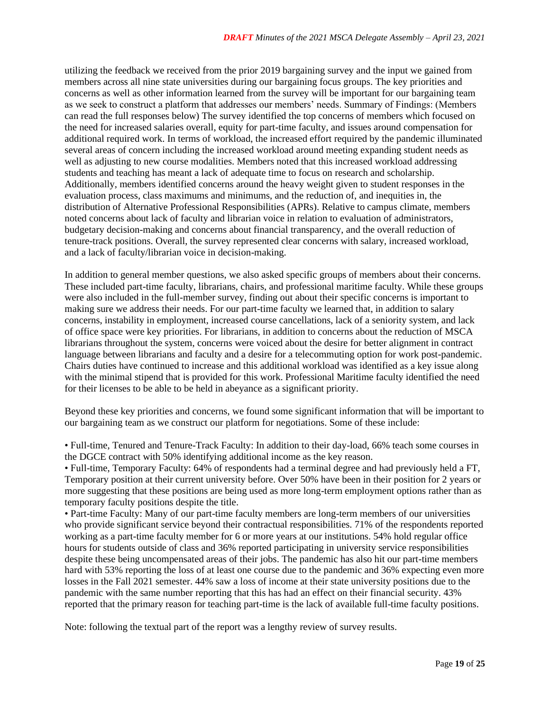utilizing the feedback we received from the prior 2019 bargaining survey and the input we gained from members across all nine state universities during our bargaining focus groups. The key priorities and concerns as well as other information learned from the survey will be important for our bargaining team as we seek to construct a platform that addresses our members' needs. Summary of Findings: (Members can read the full responses below) The survey identified the top concerns of members which focused on the need for increased salaries overall, equity for part-time faculty, and issues around compensation for additional required work. In terms of workload, the increased effort required by the pandemic illuminated several areas of concern including the increased workload around meeting expanding student needs as well as adjusting to new course modalities. Members noted that this increased workload addressing students and teaching has meant a lack of adequate time to focus on research and scholarship. Additionally, members identified concerns around the heavy weight given to student responses in the evaluation process, class maximums and minimums, and the reduction of, and inequities in, the distribution of Alternative Professional Responsibilities (APRs). Relative to campus climate, members noted concerns about lack of faculty and librarian voice in relation to evaluation of administrators, budgetary decision-making and concerns about financial transparency, and the overall reduction of tenure-track positions. Overall, the survey represented clear concerns with salary, increased workload, and a lack of faculty/librarian voice in decision-making.

In addition to general member questions, we also asked specific groups of members about their concerns. These included part-time faculty, librarians, chairs, and professional maritime faculty. While these groups were also included in the full-member survey, finding out about their specific concerns is important to making sure we address their needs. For our part-time faculty we learned that, in addition to salary concerns, instability in employment, increased course cancellations, lack of a seniority system, and lack of office space were key priorities. For librarians, in addition to concerns about the reduction of MSCA librarians throughout the system, concerns were voiced about the desire for better alignment in contract language between librarians and faculty and a desire for a telecommuting option for work post-pandemic. Chairs duties have continued to increase and this additional workload was identified as a key issue along with the minimal stipend that is provided for this work. Professional Maritime faculty identified the need for their licenses to be able to be held in abeyance as a significant priority.

Beyond these key priorities and concerns, we found some significant information that will be important to our bargaining team as we construct our platform for negotiations. Some of these include:

• Full-time, Tenured and Tenure-Track Faculty: In addition to their day-load, 66% teach some courses in the DGCE contract with 50% identifying additional income as the key reason.

• Full-time, Temporary Faculty: 64% of respondents had a terminal degree and had previously held a FT, Temporary position at their current university before. Over 50% have been in their position for 2 years or more suggesting that these positions are being used as more long-term employment options rather than as temporary faculty positions despite the title.

• Part-time Faculty: Many of our part-time faculty members are long-term members of our universities who provide significant service beyond their contractual responsibilities. 71% of the respondents reported working as a part-time faculty member for 6 or more years at our institutions. 54% hold regular office hours for students outside of class and 36% reported participating in university service responsibilities despite these being uncompensated areas of their jobs. The pandemic has also hit our part-time members hard with 53% reporting the loss of at least one course due to the pandemic and 36% expecting even more losses in the Fall 2021 semester. 44% saw a loss of income at their state university positions due to the pandemic with the same number reporting that this has had an effect on their financial security. 43% reported that the primary reason for teaching part-time is the lack of available full-time faculty positions.

Note: following the textual part of the report was a lengthy review of survey results.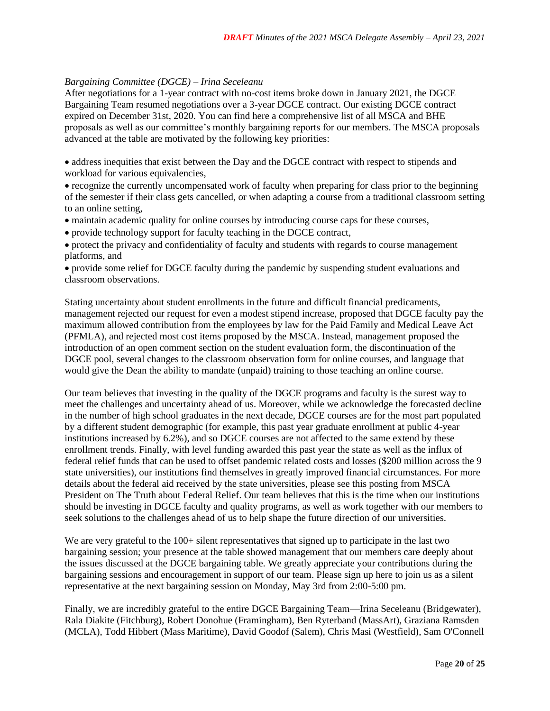### *Bargaining Committee (DGCE) – Irina Seceleanu*

After negotiations for a 1-year contract with no-cost items broke down in January 2021, the DGCE Bargaining Team resumed negotiations over a 3-year DGCE contract. Our existing DGCE contract expired on December 31st, 2020. You can find here a comprehensive list of all MSCA and BHE proposals as well as our committee's monthly bargaining reports for our members. The MSCA proposals advanced at the table are motivated by the following key priorities:

• address inequities that exist between the Day and the DGCE contract with respect to stipends and workload for various equivalencies,

• recognize the currently uncompensated work of faculty when preparing for class prior to the beginning of the semester if their class gets cancelled, or when adapting a course from a traditional classroom setting to an online setting,

• maintain academic quality for online courses by introducing course caps for these courses,

• provide technology support for faculty teaching in the DGCE contract,

• protect the privacy and confidentiality of faculty and students with regards to course management platforms, and

• provide some relief for DGCE faculty during the pandemic by suspending student evaluations and classroom observations.

Stating uncertainty about student enrollments in the future and difficult financial predicaments, management rejected our request for even a modest stipend increase, proposed that DGCE faculty pay the maximum allowed contribution from the employees by law for the Paid Family and Medical Leave Act (PFMLA), and rejected most cost items proposed by the MSCA. Instead, management proposed the introduction of an open comment section on the student evaluation form, the discontinuation of the DGCE pool, several changes to the classroom observation form for online courses, and language that would give the Dean the ability to mandate (unpaid) training to those teaching an online course.

Our team believes that investing in the quality of the DGCE programs and faculty is the surest way to meet the challenges and uncertainty ahead of us. Moreover, while we acknowledge the forecasted decline in the number of high school graduates in the next decade, DGCE courses are for the most part populated by a different student demographic (for example, this past year graduate enrollment at public 4-year institutions increased by 6.2%), and so DGCE courses are not affected to the same extend by these enrollment trends. Finally, with level funding awarded this past year the state as well as the influx of federal relief funds that can be used to offset pandemic related costs and losses (\$200 million across the 9 state universities), our institutions find themselves in greatly improved financial circumstances. For more details about the federal aid received by the state universities, please see this posting from MSCA President on The Truth about Federal Relief. Our team believes that this is the time when our institutions should be investing in DGCE faculty and quality programs, as well as work together with our members to seek solutions to the challenges ahead of us to help shape the future direction of our universities.

We are very grateful to the 100+ silent representatives that signed up to participate in the last two bargaining session; your presence at the table showed management that our members care deeply about the issues discussed at the DGCE bargaining table. We greatly appreciate your contributions during the bargaining sessions and encouragement in support of our team. Please sign up here to join us as a silent representative at the next bargaining session on Monday, May 3rd from 2:00-5:00 pm.

Finally, we are incredibly grateful to the entire DGCE Bargaining Team—Irina Seceleanu (Bridgewater), Rala Diakite (Fitchburg), Robert Donohue (Framingham), Ben Ryterband (MassArt), Graziana Ramsden (MCLA), Todd Hibbert (Mass Maritime), David Goodof (Salem), Chris Masi (Westfield), Sam O'Connell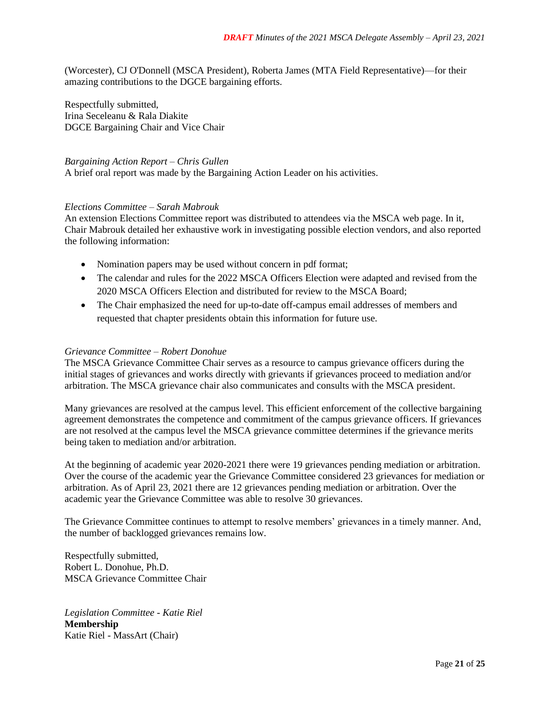(Worcester), CJ O'Donnell (MSCA President), Roberta James (MTA Field Representative)—for their amazing contributions to the DGCE bargaining efforts.

Respectfully submitted, Irina Seceleanu & Rala Diakite DGCE Bargaining Chair and Vice Chair

### *Bargaining Action Report – Chris Gullen*

A brief oral report was made by the Bargaining Action Leader on his activities.

### *Elections Committee – Sarah Mabrouk*

An extension Elections Committee report was distributed to attendees via the MSCA web page. In it, Chair Mabrouk detailed her exhaustive work in investigating possible election vendors, and also reported the following information:

- Nomination papers may be used without concern in pdf format;
- The calendar and rules for the 2022 MSCA Officers Election were adapted and revised from the 2020 MSCA Officers Election and distributed for review to the MSCA Board;
- The Chair emphasized the need for up-to-date off-campus email addresses of members and requested that chapter presidents obtain this information for future use.

#### *Grievance Committee – Robert Donohue*

The MSCA Grievance Committee Chair serves as a resource to campus grievance officers during the initial stages of grievances and works directly with grievants if grievances proceed to mediation and/or arbitration. The MSCA grievance chair also communicates and consults with the MSCA president.

Many grievances are resolved at the campus level. This efficient enforcement of the collective bargaining agreement demonstrates the competence and commitment of the campus grievance officers. If grievances are not resolved at the campus level the MSCA grievance committee determines if the grievance merits being taken to mediation and/or arbitration.

At the beginning of academic year 2020-2021 there were 19 grievances pending mediation or arbitration. Over the course of the academic year the Grievance Committee considered 23 grievances for mediation or arbitration. As of April 23, 2021 there are 12 grievances pending mediation or arbitration. Over the academic year the Grievance Committee was able to resolve 30 grievances.

The Grievance Committee continues to attempt to resolve members' grievances in a timely manner. And, the number of backlogged grievances remains low.

Respectfully submitted, Robert L. Donohue, Ph.D. MSCA Grievance Committee Chair

*Legislation Committee - Katie Riel* **Membership**  Katie Riel - MassArt (Chair)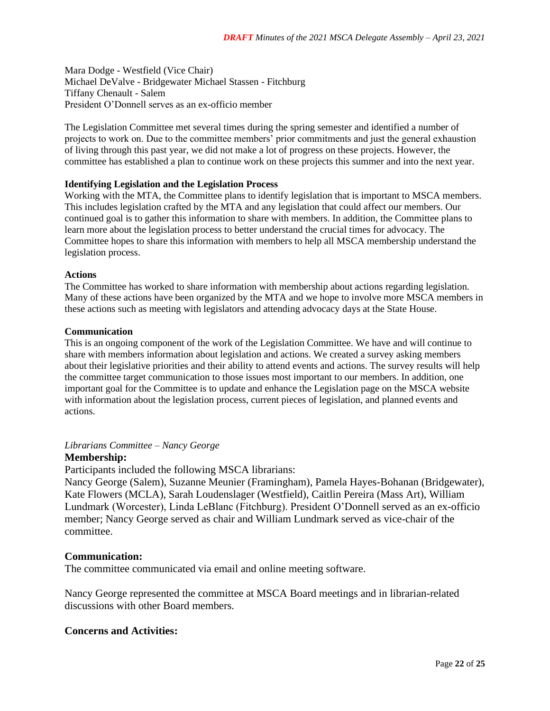Mara Dodge - Westfield (Vice Chair) Michael DeValve - Bridgewater Michael Stassen - Fitchburg Tiffany Chenault - Salem President O'Donnell serves as an ex-officio member

The Legislation Committee met several times during the spring semester and identified a number of projects to work on. Due to the committee members' prior commitments and just the general exhaustion of living through this past year, we did not make a lot of progress on these projects. However, the committee has established a plan to continue work on these projects this summer and into the next year.

# **Identifying Legislation and the Legislation Process**

Working with the MTA, the Committee plans to identify legislation that is important to MSCA members. This includes legislation crafted by the MTA and any legislation that could affect our members. Our continued goal is to gather this information to share with members. In addition, the Committee plans to learn more about the legislation process to better understand the crucial times for advocacy. The Committee hopes to share this information with members to help all MSCA membership understand the legislation process.

### **Actions**

The Committee has worked to share information with membership about actions regarding legislation. Many of these actions have been organized by the MTA and we hope to involve more MSCA members in these actions such as meeting with legislators and attending advocacy days at the State House.

### **Communication**

This is an ongoing component of the work of the Legislation Committee. We have and will continue to share with members information about legislation and actions. We created a survey asking members about their legislative priorities and their ability to attend events and actions. The survey results will help the committee target communication to those issues most important to our members. In addition, one important goal for the Committee is to update and enhance the Legislation page on the MSCA website with information about the legislation process, current pieces of legislation, and planned events and actions.

# *Librarians Committee – Nancy George*

## **Membership:**

Participants included the following MSCA librarians:

Nancy George (Salem), Suzanne Meunier (Framingham), Pamela Hayes-Bohanan (Bridgewater), Kate Flowers (MCLA), Sarah Loudenslager (Westfield), Caitlin Pereira (Mass Art), William Lundmark (Worcester), Linda LeBlanc (Fitchburg). President O'Donnell served as an ex-officio member; Nancy George served as chair and William Lundmark served as vice-chair of the committee.

# **Communication:**

The committee communicated via email and online meeting software.

Nancy George represented the committee at MSCA Board meetings and in librarian-related discussions with other Board members.

# **Concerns and Activities:**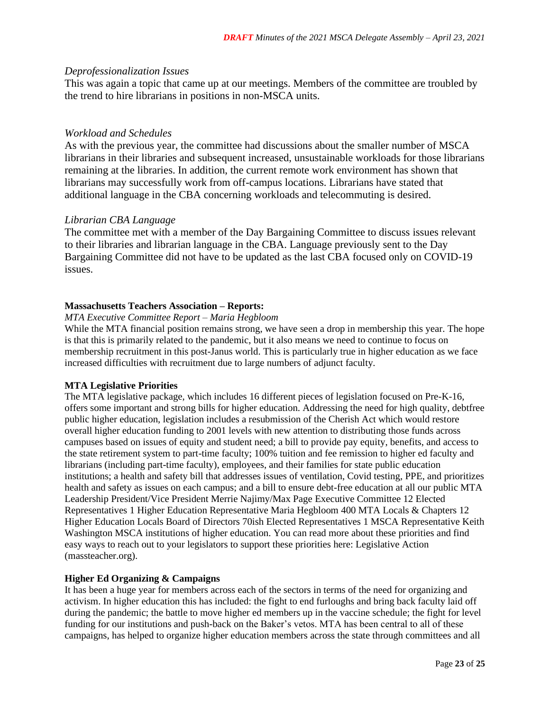# *Deprofessionalization Issues*

This was again a topic that came up at our meetings. Members of the committee are troubled by the trend to hire librarians in positions in non-MSCA units.

# *Workload and Schedules*

As with the previous year, the committee had discussions about the smaller number of MSCA librarians in their libraries and subsequent increased, unsustainable workloads for those librarians remaining at the libraries. In addition, the current remote work environment has shown that librarians may successfully work from off-campus locations. Librarians have stated that additional language in the CBA concerning workloads and telecommuting is desired.

# *Librarian CBA Language*

The committee met with a member of the Day Bargaining Committee to discuss issues relevant to their libraries and librarian language in the CBA. Language previously sent to the Day Bargaining Committee did not have to be updated as the last CBA focused only on COVID-19 issues.

# **Massachusetts Teachers Association – Reports:**

# *MTA Executive Committee Report – Maria Hegbloom*

While the MTA financial position remains strong, we have seen a drop in membership this year. The hope is that this is primarily related to the pandemic, but it also means we need to continue to focus on membership recruitment in this post-Janus world. This is particularly true in higher education as we face increased difficulties with recruitment due to large numbers of adjunct faculty.

# **MTA Legislative Priorities**

The MTA legislative package, which includes 16 different pieces of legislation focused on Pre-K-16, offers some important and strong bills for higher education. Addressing the need for high quality, debtfree public higher education, legislation includes a resubmission of the Cherish Act which would restore overall higher education funding to 2001 levels with new attention to distributing those funds across campuses based on issues of equity and student need; a bill to provide pay equity, benefits, and access to the state retirement system to part-time faculty; 100% tuition and fee remission to higher ed faculty and librarians (including part-time faculty), employees, and their families for state public education institutions; a health and safety bill that addresses issues of ventilation, Covid testing, PPE, and prioritizes health and safety as issues on each campus; and a bill to ensure debt-free education at all our public MTA Leadership President/Vice President Merrie Najimy/Max Page Executive Committee 12 Elected Representatives 1 Higher Education Representative Maria Hegbloom 400 MTA Locals & Chapters 12 Higher Education Locals Board of Directors 70ish Elected Representatives 1 MSCA Representative Keith Washington MSCA institutions of higher education. You can read more about these priorities and find easy ways to reach out to your legislators to support these priorities here: Legislative Action (massteacher.org).

# **Higher Ed Organizing & Campaigns**

It has been a huge year for members across each of the sectors in terms of the need for organizing and activism. In higher education this has included: the fight to end furloughs and bring back faculty laid off during the pandemic; the battle to move higher ed members up in the vaccine schedule; the fight for level funding for our institutions and push-back on the Baker's vetos. MTA has been central to all of these campaigns, has helped to organize higher education members across the state through committees and all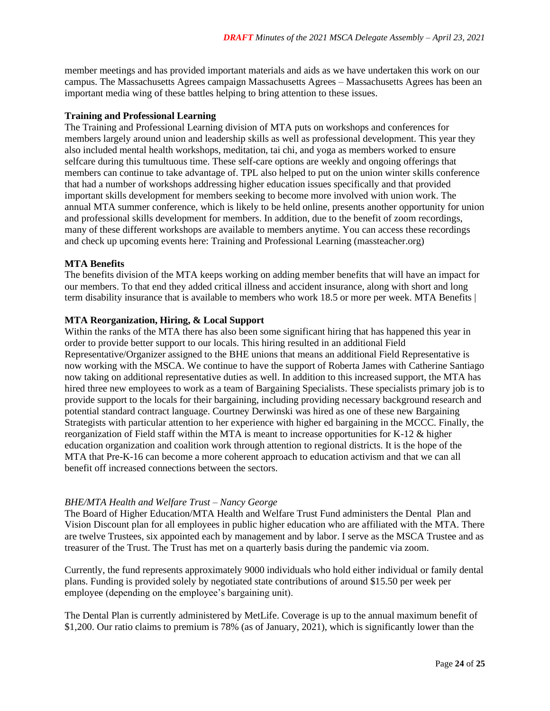member meetings and has provided important materials and aids as we have undertaken this work on our campus. The Massachusetts Agrees campaign Massachusetts Agrees – Massachusetts Agrees has been an important media wing of these battles helping to bring attention to these issues.

### **Training and Professional Learning**

The Training and Professional Learning division of MTA puts on workshops and conferences for members largely around union and leadership skills as well as professional development. This year they also included mental health workshops, meditation, tai chi, and yoga as members worked to ensure selfcare during this tumultuous time. These self-care options are weekly and ongoing offerings that members can continue to take advantage of. TPL also helped to put on the union winter skills conference that had a number of workshops addressing higher education issues specifically and that provided important skills development for members seeking to become more involved with union work. The annual MTA summer conference, which is likely to be held online, presents another opportunity for union and professional skills development for members. In addition, due to the benefit of zoom recordings, many of these different workshops are available to members anytime. You can access these recordings and check up upcoming events here: Training and Professional Learning (massteacher.org)

### **MTA Benefits**

The benefits division of the MTA keeps working on adding member benefits that will have an impact for our members. To that end they added critical illness and accident insurance, along with short and long term disability insurance that is available to members who work 18.5 or more per week. MTA Benefits |

### **MTA Reorganization, Hiring, & Local Support**

Within the ranks of the MTA there has also been some significant hiring that has happened this year in order to provide better support to our locals. This hiring resulted in an additional Field Representative/Organizer assigned to the BHE unions that means an additional Field Representative is now working with the MSCA. We continue to have the support of Roberta James with Catherine Santiago now taking on additional representative duties as well. In addition to this increased support, the MTA has hired three new employees to work as a team of Bargaining Specialists. These specialists primary job is to provide support to the locals for their bargaining, including providing necessary background research and potential standard contract language. Courtney Derwinski was hired as one of these new Bargaining Strategists with particular attention to her experience with higher ed bargaining in the MCCC. Finally, the reorganization of Field staff within the MTA is meant to increase opportunities for K-12 & higher education organization and coalition work through attention to regional districts. It is the hope of the MTA that Pre-K-16 can become a more coherent approach to education activism and that we can all benefit off increased connections between the sectors.

### *BHE/MTA Health and Welfare Trust – Nancy George*

The Board of Higher Education/MTA Health and Welfare Trust Fund administers the Dental Plan and Vision Discount plan for all employees in public higher education who are affiliated with the MTA. There are twelve Trustees, six appointed each by management and by labor. I serve as the MSCA Trustee and as treasurer of the Trust. The Trust has met on a quarterly basis during the pandemic via zoom.

Currently, the fund represents approximately 9000 individuals who hold either individual or family dental plans. Funding is provided solely by negotiated state contributions of around \$15.50 per week per employee (depending on the employee's bargaining unit).

The Dental Plan is currently administered by MetLife. Coverage is up to the annual maximum benefit of \$1,200. Our ratio claims to premium is 78% (as of January, 2021), which is significantly lower than the